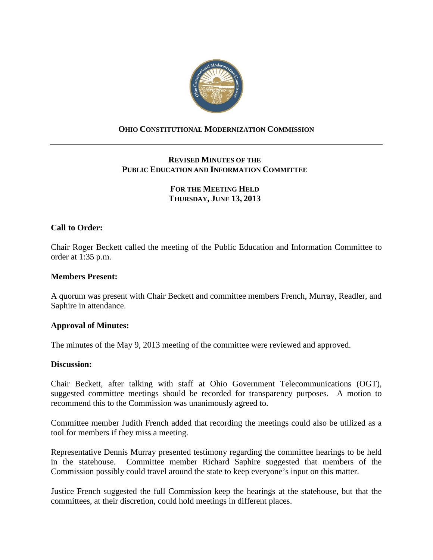

# **OHIO CONSTITUTIONAL MODERNIZATION COMMISSION**

# **REVISED MINUTES OF THE PUBLIC EDUCATION AND INFORMATION COMMITTEE**

# **FOR THE MEETING HELD THURSDAY, JUNE 13, 2013**

## **Call to Order:**

Chair Roger Beckett called the meeting of the Public Education and Information Committee to order at 1:35 p.m.

#### **Members Present:**

A quorum was present with Chair Beckett and committee members French, Murray, Readler, and Saphire in attendance.

### **Approval of Minutes:**

The minutes of the May 9, 2013 meeting of the committee were reviewed and approved.

#### **Discussion:**

Chair Beckett, after talking with staff at Ohio Government Telecommunications (OGT), suggested committee meetings should be recorded for transparency purposes. A motion to recommend this to the Commission was unanimously agreed to.

Committee member Judith French added that recording the meetings could also be utilized as a tool for members if they miss a meeting.

Representative Dennis Murray presented testimony regarding the committee hearings to be held in the statehouse. Committee member Richard Saphire suggested that members of the Commission possibly could travel around the state to keep everyone's input on this matter.

Justice French suggested the full Commission keep the hearings at the statehouse, but that the committees, at their discretion, could hold meetings in different places.